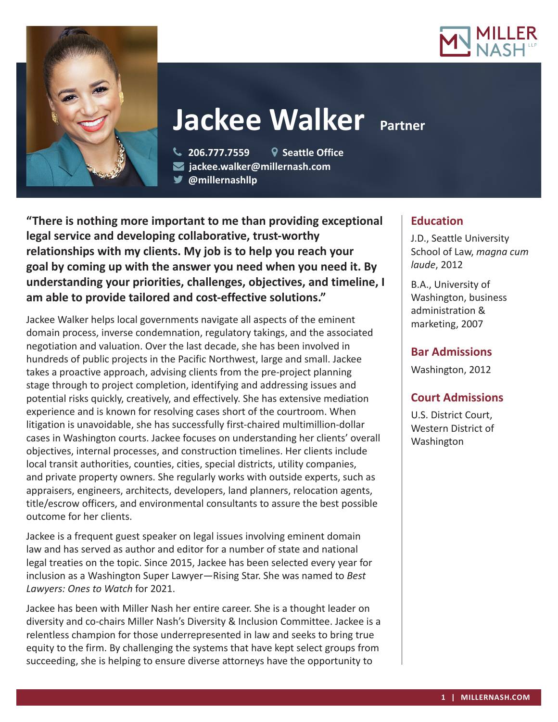



# **Jackee Walker Partner**

 **206.777.7559 Seattle Office jackee.walker@millernash.com** 

**@millernashllp** 

**"There is nothing more important to me than providing exceptional legal service and developing collaborative, trust-worthy relationships with my clients. My job is to help you reach your goal by coming up with the answer you need when you need it. By understanding your priorities, challenges, objectives, and timeline, I am able to provide tailored and cost-effective solutions."**

Jackee Walker helps local governments navigate all aspects of the eminent domain process, inverse condemnation, regulatory takings, and the associated negotiation and valuation. Over the last decade, she has been involved in hundreds of public projects in the Pacific Northwest, large and small. Jackee takes a proactive approach, advising clients from the pre-project planning stage through to project completion, identifying and addressing issues and potential risks quickly, creatively, and effectively. She has extensive mediation experience and is known for resolving cases short of the courtroom. When litigation is unavoidable, she has successfully first-chaired multimillion-dollar cases in Washington courts. Jackee focuses on understanding her clients' overall objectives, internal processes, and construction timelines. Her clients include local transit authorities, counties, cities, special districts, utility companies, and private property owners. She regularly works with outside experts, such as appraisers, engineers, architects, developers, land planners, relocation agents, title/escrow officers, and environmental consultants to assure the best possible outcome for her clients.

Jackee is a frequent guest speaker on legal issues involving eminent domain law and has served as author and editor for a number of state and national legal treaties on the topic. Since 2015, Jackee has been selected every year for inclusion as a Washington Super Lawyer—Rising Star. She was named to *Best Lawyers: Ones to Watch* for 2021.

Jackee has been with Miller Nash her entire career. She is a thought leader on diversity and co-chairs Miller Nash's Diversity & Inclusion Committee. Jackee is a relentless champion for those underrepresented in law and seeks to bring true equity to the firm. By challenging the systems that have kept select groups from succeeding, she is helping to ensure diverse attorneys have the opportunity to

# **Education**

J.D., Seattle University School of Law, *magna cum laude*, 2012

B.A., University of Washington, business administration & marketing, 2007

# **Bar Admissions**

Washington, 2012

# **Court Admissions**

U.S. District Court, Western District of Washington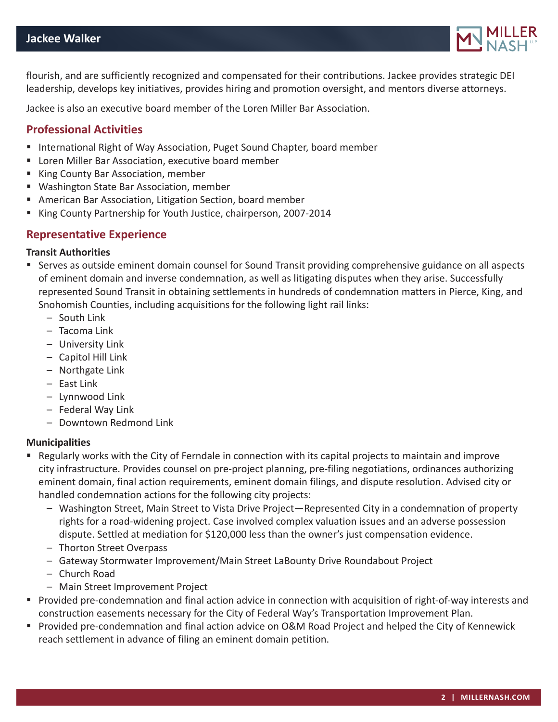

flourish, and are sufficiently recognized and compensated for their contributions. Jackee provides strategic DEI leadership, develops key initiatives, provides hiring and promotion oversight, and mentors diverse attorneys.

Jackee is also an executive board member of the Loren Miller Bar Association.

## **Professional Activities**

- **International Right of Way Association, Puget Sound Chapter, board member**
- **E** Loren Miller Bar Association, executive board member
- King County Bar Association, member
- Washington State Bar Association, member
- American Bar Association, Litigation Section, board member
- King County Partnership for Youth Justice, chairperson, 2007-2014

## **Representative Experience**

#### **Transit Authorities**

- Serves as outside eminent domain counsel for Sound Transit providing comprehensive guidance on all aspects of eminent domain and inverse condemnation, as well as litigating disputes when they arise. Successfully represented Sound Transit in obtaining settlements in hundreds of condemnation matters in Pierce, King, and Snohomish Counties, including acquisitions for the following light rail links:
	- South Link
	- Tacoma Link
	- University Link
	- Capitol Hill Link
	- Northgate Link
	- East Link
	- Lynnwood Link
	- Federal Way Link
	- Downtown Redmond Link

#### **Municipalities**

- Regularly works with the City of Ferndale in connection with its capital projects to maintain and improve city infrastructure. Provides counsel on pre-project planning, pre-filing negotiations, ordinances authorizing eminent domain, final action requirements, eminent domain filings, and dispute resolution. Advised city or handled condemnation actions for the following city projects:
	- Washington Street, Main Street to Vista Drive Project—Represented City in a condemnation of property rights for a road-widening project. Case involved complex valuation issues and an adverse possession dispute. Settled at mediation for \$120,000 less than the owner's just compensation evidence.
	- Thorton Street Overpass
	- Gateway Stormwater Improvement/Main Street LaBounty Drive Roundabout Project
	- Church Road
	- Main Street Improvement Project
- Provided pre-condemnation and final action advice in connection with acquisition of right-of-way interests and construction easements necessary for the City of Federal Way's Transportation Improvement Plan.
- Provided pre-condemnation and final action advice on O&M Road Project and helped the City of Kennewick reach settlement in advance of filing an eminent domain petition.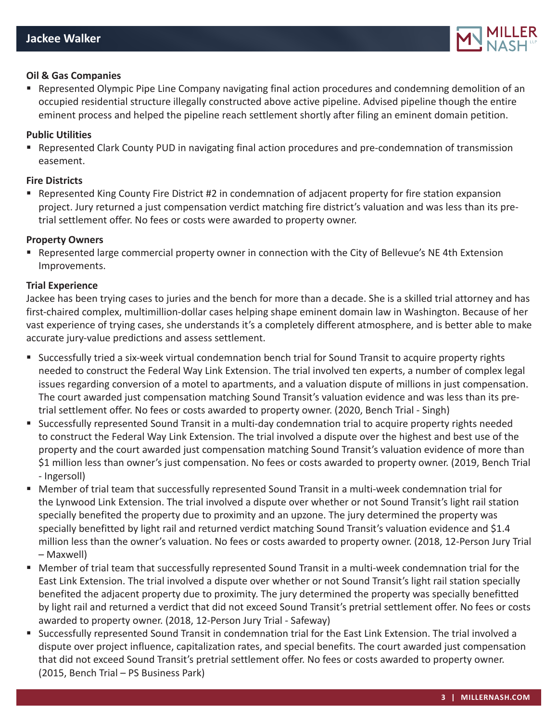

#### **Oil & Gas Companies**

**EXECT** Represented Olympic Pipe Line Company navigating final action procedures and condemning demolition of an occupied residential structure illegally constructed above active pipeline. Advised pipeline though the entire eminent process and helped the pipeline reach settlement shortly after filing an eminent domain petition.

#### **Public Utilities**

**• Represented Clark County PUD in navigating final action procedures and pre-condemnation of transmission** easement.

#### **Fire Districts**

**• Represented King County Fire District #2 in condemnation of adjacent property for fire station expansion** project. Jury returned a just compensation verdict matching fire district's valuation and was less than its pretrial settlement offer. No fees or costs were awarded to property owner.

#### **Property Owners**

**•** Represented large commercial property owner in connection with the City of Bellevue's NE 4th Extension Improvements.

#### **Trial Experience**

Jackee has been trying cases to juries and the bench for more than a decade. She is a skilled trial attorney and has first-chaired complex, multimillion-dollar cases helping shape eminent domain law in Washington. Because of her vast experience of trying cases, she understands it's a completely different atmosphere, and is better able to make accurate jury-value predictions and assess settlement.

- Successfully tried a six-week virtual condemnation bench trial for Sound Transit to acquire property rights needed to construct the Federal Way Link Extension. The trial involved ten experts, a number of complex legal issues regarding conversion of a motel to apartments, and a valuation dispute of millions in just compensation. The court awarded just compensation matching Sound Transit's valuation evidence and was less than its pretrial settlement offer. No fees or costs awarded to property owner. (2020, Bench Trial - Singh)
- Successfully represented Sound Transit in a multi-day condemnation trial to acquire property rights needed to construct the Federal Way Link Extension. The trial involved a dispute over the highest and best use of the property and the court awarded just compensation matching Sound Transit's valuation evidence of more than \$1 million less than owner's just compensation. No fees or costs awarded to property owner. (2019, Bench Trial - Ingersoll)
- Member of trial team that successfully represented Sound Transit in a multi-week condemnation trial for the Lynwood Link Extension. The trial involved a dispute over whether or not Sound Transit's light rail station specially benefited the property due to proximity and an upzone. The jury determined the property was specially benefitted by light rail and returned verdict matching Sound Transit's valuation evidence and \$1.4 million less than the owner's valuation. No fees or costs awarded to property owner. (2018, 12-Person Jury Trial – Maxwell)
- Member of trial team that successfully represented Sound Transit in a multi-week condemnation trial for the East Link Extension. The trial involved a dispute over whether or not Sound Transit's light rail station specially benefited the adjacent property due to proximity. The jury determined the property was specially benefitted by light rail and returned a verdict that did not exceed Sound Transit's pretrial settlement offer. No fees or costs awarded to property owner. (2018, 12-Person Jury Trial - Safeway)
- Successfully represented Sound Transit in condemnation trial for the East Link Extension. The trial involved a dispute over project influence, capitalization rates, and special benefits. The court awarded just compensation that did not exceed Sound Transit's pretrial settlement offer. No fees or costs awarded to property owner. (2015, Bench Trial – PS Business Park)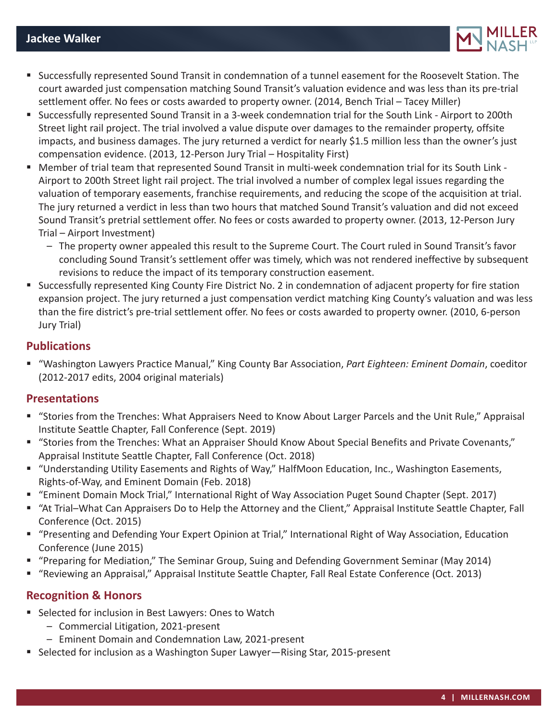

- Successfully represented Sound Transit in condemnation of a tunnel easement for the Roosevelt Station. The court awarded just compensation matching Sound Transit's valuation evidence and was less than its pre-trial settlement offer. No fees or costs awarded to property owner. (2014, Bench Trial – Tacey Miller)
- Successfully represented Sound Transit in a 3-week condemnation trial for the South Link Airport to 200th Street light rail project. The trial involved a value dispute over damages to the remainder property, offsite impacts, and business damages. The jury returned a verdict for nearly \$1.5 million less than the owner's just compensation evidence. (2013, 12-Person Jury Trial – Hospitality First)
- Member of trial team that represented Sound Transit in multi-week condemnation trial for its South Link Airport to 200th Street light rail project. The trial involved a number of complex legal issues regarding the valuation of temporary easements, franchise requirements, and reducing the scope of the acquisition at trial. The jury returned a verdict in less than two hours that matched Sound Transit's valuation and did not exceed Sound Transit's pretrial settlement offer. No fees or costs awarded to property owner. (2013, 12-Person Jury Trial – Airport Investment)
	- The property owner appealed this result to the Supreme Court. The Court ruled in Sound Transit's favor concluding Sound Transit's settlement offer was timely, which was not rendered ineffective by subsequent revisions to reduce the impact of its temporary construction easement.
- Successfully represented King County Fire District No. 2 in condemnation of adjacent property for fire station expansion project. The jury returned a just compensation verdict matching King County's valuation and was less than the fire district's pre-trial settlement offer. No fees or costs awarded to property owner. (2010, 6-person Jury Trial)

## **Publications**

 "Washington Lawyers Practice Manual," King County Bar Association, *Part Eighteen: Eminent Domain*, coeditor (2012-2017 edits, 2004 original materials)

### **Presentations**

- "Stories from the Trenches: What Appraisers Need to Know About Larger Parcels and the Unit Rule," Appraisal Institute Seattle Chapter, Fall Conference (Sept. 2019)
- "Stories from the Trenches: What an Appraiser Should Know About Special Benefits and Private Covenants," Appraisal Institute Seattle Chapter, Fall Conference (Oct. 2018)
- "Understanding Utility Easements and Rights of Way," HalfMoon Education, Inc., Washington Easements, Rights-of-Way, and Eminent Domain (Feb. 2018)
- "Eminent Domain Mock Trial," International Right of Way Association Puget Sound Chapter (Sept. 2017)
- "At Trial–What Can Appraisers Do to Help the Attorney and the Client," Appraisal Institute Seattle Chapter, Fall Conference (Oct. 2015)
- "Presenting and Defending Your Expert Opinion at Trial," International Right of Way Association, Education Conference (June 2015)
- "Preparing for Mediation," The Seminar Group, Suing and Defending Government Seminar (May 2014)
- "Reviewing an Appraisal," Appraisal Institute Seattle Chapter, Fall Real Estate Conference (Oct. 2013)

# **Recognition & Honors**

- Selected for inclusion in Best Lawyers: Ones to Watch
	- Commercial Litigation, 2021-present
	- Eminent Domain and Condemnation Law, 2021-present
- Selected for inclusion as a Washington Super Lawyer—Rising Star, 2015-present